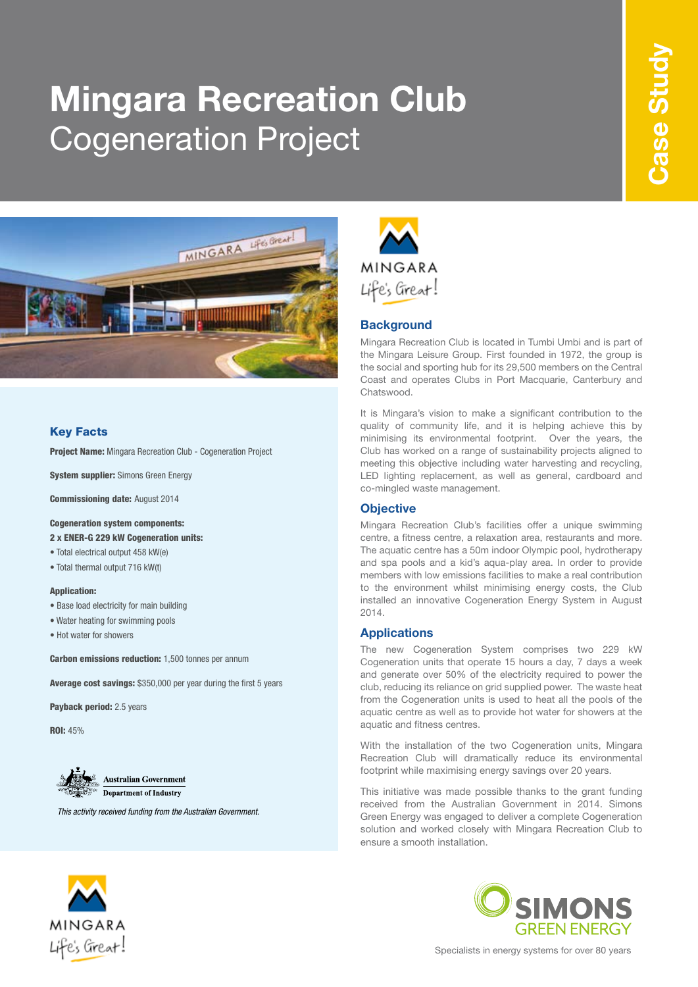# **Mingara Recreation Club** Cogeneration Project



# Key Facts

Project Name: Mingara Recreation Club - Cogeneration Project

System supplier: Simons Green Energy

Commissioning date: August 2014

#### Cogeneration system components:

2 x ENER-G 229 kW Cogeneration units:

- Total electrical output 458 kW(e)
- Total thermal output 716 kW(t)

#### Application:

- Base load electricity for main building
- Water heating for swimming pools
- Hot water for showers

**Carbon emissions reduction:** 1,500 tonnes per annum

Average cost savings: \$350,000 per year during the first 5 years

Payback period: 2.5 years

ROI: 45%



*This activity received funding from the Australian Government.*



## **Background**

Mingara Recreation Club is located in Tumbi Umbi and is part of the Mingara Leisure Group. First founded in 1972, the group is the social and sporting hub for its 29,500 members on the Central Coast and operates Clubs in Port Macquarie, Canterbury and Chatswood.

It is Mingara's vision to make a significant contribution to the quality of community life, and it is helping achieve this by minimising its environmental footprint. Over the years, the Club has worked on a range of sustainability projects aligned to meeting this objective including water harvesting and recycling, LED lighting replacement, as well as general, cardboard and co-mingled waste management.

# **Objective**

Mingara Recreation Club's facilities offer a unique swimming centre, a fitness centre, a relaxation area, restaurants and more. The aquatic centre has a 50m indoor Olympic pool, hydrotherapy and spa pools and a kid's aqua-play area. In order to provide members with low emissions facilities to make a real contribution to the environment whilst minimising energy costs, the Club installed an innovative Cogeneration Energy System in August 2014.

#### **Applications**

The new Cogeneration System comprises two 229 kW Cogeneration units that operate 15 hours a day, 7 days a week and generate over 50% of the electricity required to power the club, reducing its reliance on grid supplied power. The waste heat from the Cogeneration units is used to heat all the pools of the aquatic centre as well as to provide hot water for showers at the aquatic and fitness centres.

With the installation of the two Cogeneration units, Mingara Recreation Club will dramatically reduce its environmental footprint while maximising energy savings over 20 years.

This initiative was made possible thanks to the grant funding received from the Australian Government in 2014. Simons Green Energy was engaged to deliver a complete Cogeneration solution and worked closely with Mingara Recreation Club to ensure a smooth installation.





Specialists in energy systems for over 80 years